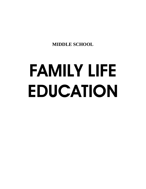**MIDDLE SCHOOL** 

# FAMILY LIFE EDUCATION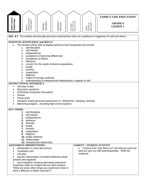| Family Living &<br>Relationships<br>Human                                                                                                                                                                                                                                                                                                                                     | ${\bf Reproduction\,\,} \&\\ {\bf Contraception}$<br>Sexuality<br>Human                                                                                                                                                                                                                       | Abstinence<br>Education | The Origin,<br>Prevention, &<br>Effects of STI's | ${\bf Assault}, \, \&\\ {\bf Harassment}$<br>Abuse, | <b>FAMILY LIFE EDUCATION</b><br><b>GRADE 6</b><br><b>LESSON1</b>                                    |  |  |  |
|-------------------------------------------------------------------------------------------------------------------------------------------------------------------------------------------------------------------------------------------------------------------------------------------------------------------------------------------------------------------------------|-----------------------------------------------------------------------------------------------------------------------------------------------------------------------------------------------------------------------------------------------------------------------------------------------|-------------------------|--------------------------------------------------|-----------------------------------------------------|-----------------------------------------------------------------------------------------------------|--|--|--|
|                                                                                                                                                                                                                                                                                                                                                                               |                                                                                                                                                                                                                                                                                               |                         |                                                  |                                                     |                                                                                                     |  |  |  |
|                                                                                                                                                                                                                                                                                                                                                                               | SOL: 6.7 The student will describe personal characteristics that can contribute to happiness for self and others.                                                                                                                                                                             |                         |                                                  |                                                     |                                                                                                     |  |  |  |
|                                                                                                                                                                                                                                                                                                                                                                               | <b>ESSENTIAL KNOWLEDGE and SKILLS:</b>                                                                                                                                                                                                                                                        |                         |                                                  |                                                     |                                                                                                     |  |  |  |
| The student will be able to display behaviors that incorporate and include:<br>self-discipline<br>$\circ$<br>self-esteem<br>$\circ$<br>independence<br>O<br>acceptance of personal differences<br>$\circ$<br>acceptance of others<br>O<br>tolerance<br>$\circ$<br>concern for the needs of diverse populations<br>$\circ$<br>loyalty<br>O<br>honesty<br>O<br>cooperation<br>O |                                                                                                                                                                                                                                                                                               |                         |                                                  |                                                     |                                                                                                     |  |  |  |
| $\circ$<br>$\circ$                                                                                                                                                                                                                                                                                                                                                            | diligence<br>respect for proper authority                                                                                                                                                                                                                                                     |                         |                                                  |                                                     |                                                                                                     |  |  |  |
| $\circ$<br><b>INSTRUCTIONAL MATERIALS:</b>                                                                                                                                                                                                                                                                                                                                    | understanding of interpersonal relationships in regards to self                                                                                                                                                                                                                               |                         |                                                  |                                                     |                                                                                                     |  |  |  |
| role play scripts<br>$\bullet$<br>discussion questions<br>DVD/Video (Character Education)<br>$\bullet$<br>Games<br>Power point<br>Speakers (using personal experiences ex. Wheelchair, cheating, honesty)<br>Mentoring programincluding high school students                                                                                                                  |                                                                                                                                                                                                                                                                                               |                         |                                                  |                                                     |                                                                                                     |  |  |  |
| <b>KEY TERMS:</b>                                                                                                                                                                                                                                                                                                                                                             |                                                                                                                                                                                                                                                                                               |                         |                                                  |                                                     |                                                                                                     |  |  |  |
| 1. self-discipline<br>2.<br>self-esteem<br>independence<br>3.<br>4. tolerance<br>diversity<br>5.<br>loyalty<br>6.<br>7. honesty<br>8. cooperation<br>diligence<br>9.<br>10. proper authority<br>11. relationships<br>12. interpersonal relationship                                                                                                                           |                                                                                                                                                                                                                                                                                               |                         |                                                  |                                                     |                                                                                                     |  |  |  |
| <b>ASSESSMENT OPPORTUNITIES:</b>                                                                                                                                                                                                                                                                                                                                              |                                                                                                                                                                                                                                                                                               |                         |                                                  | PARENT / STUDENT ACTIVITY                           |                                                                                                     |  |  |  |
| ٠<br>vocabulary quiz<br>role play<br>positive and negative)                                                                                                                                                                                                                                                                                                                   | participation in class discussions<br>teacher observations of student behaviors (both<br>post mediation involving alternative behavioral<br>responses (after an incident discuss with students<br>"What are some other things you could have done to<br>have a different or better outcome?") |                         |                                                  | response.                                           | Choose from "Key Word List" and discuss outcome<br>both pro and con with parent/guardian. Write the |  |  |  |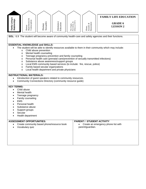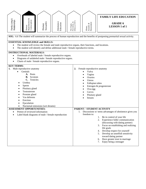| Family Living &<br>Relationships | Reproduction &<br>Contraception<br>Human                                                                                                                                                                                                                                                                                                                                                  | Sexuality<br>Human               | Abstinence<br>Education | The Origin,<br>Prevention, &<br>Effects of STI's | ${\bf Assau} {\mathfrak l}, {\boldsymbol \&} \\ {\bf Harassment}$<br>Abuse,                                                                                         | <b>FAMILY LIFE EDUCATION</b><br><b>GRADE 6</b><br><b>LESSON 1 of 1</b>                                                                                                                                                                                                                                                                                                                                               |
|----------------------------------|-------------------------------------------------------------------------------------------------------------------------------------------------------------------------------------------------------------------------------------------------------------------------------------------------------------------------------------------------------------------------------------------|----------------------------------|-------------------------|--------------------------------------------------|---------------------------------------------------------------------------------------------------------------------------------------------------------------------|----------------------------------------------------------------------------------------------------------------------------------------------------------------------------------------------------------------------------------------------------------------------------------------------------------------------------------------------------------------------------------------------------------------------|
| ٠                                | <b>ESSENTIAL KNOWLEDGE and SKILLS:</b><br>The student will review the female and male reproductive organs, their functions, and locations.<br>The student will identify and define additional male / female reproductive terms.<br><b>INSTRUCTIONAL MATERIALS:</b><br>Overheads of labeled male / female reproductive organs.<br>Diagrams of unlabeled male / female reproductive organs. |                                  |                         |                                                  |                                                                                                                                                                     | SOL: 6.6 The student will summarize the process of human reproduction and the benefits of postponing premarital sexual activity.                                                                                                                                                                                                                                                                                     |
| <b>KEY TERMS:</b><br>$\bullet$   | Charts of male / female reproductive organs.<br>1. Male reproductive anatomy<br>Genitals<br>A. Penis<br>Scrotom<br><b>B.</b><br>C. Testicles<br>Urethra<br>Sperm<br>Pituitary gland<br>Testosterone<br>Prostate gland<br>Vas deferens<br>Erection                                                                                                                                         |                                  |                         | 2.                                               | Female reproductive anatomy<br>Vulva<br>Vagina<br>Ovaries<br>Uterus<br>Fallopian tubes<br>$\bullet$<br>Ova-egg<br>$\bullet$<br>Cervix<br>Pituitary gland<br>breasts | Estrogen & progesterone                                                                                                                                                                                                                                                                                                                                                                                              |
| $\bullet$                        | Ejaculation<br><b>ASSESSMENT OPPORTUNITIES:</b><br>Pretest of reviewed information<br>Label blank diagrams of male / female reproduction                                                                                                                                                                                                                                                  | Nocturnal emissions (wet dreams) |                         | 1.                                               | PARENT / STUDENT ACTIVITY<br>freedom to:                                                                                                                            | Discussions w/ teens advantages of abstinence gives you<br>Be in control of your life<br>Ι.<br>Experience fuller communication<br>2.<br>(discussing with dating partner)<br>Focus on establishing and realizing<br>3.<br>life goals<br>Develop respect for yourself<br>4.<br>Develop an unselfish sensitivity<br>5.<br>toward dating partner<br>Have greater trust in marriage<br>6.<br>Enjoy being a teenager<br>7. |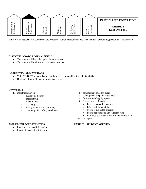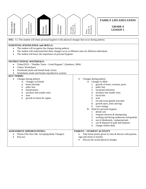| Family Living &<br>Relationships | ${\bf Reproduction\,\,} \&\\ {\bf Contraception}$<br>Human                                                                                                                                                         | Sexuality<br>Human                                                                                                                                                                                                                                                  | Abstinence<br>Education | The Origin,<br>Prevention, &<br>Effects of STI's | Harassment<br>Assault, &<br>Abuse,                                                                                      | <b>FAMILY LIFE EDUCATION</b><br><b>GRADE 6</b><br><b>LESSON1</b>                                                                                                                                                                                                                                                                                                                                                                                                 |  |
|----------------------------------|--------------------------------------------------------------------------------------------------------------------------------------------------------------------------------------------------------------------|---------------------------------------------------------------------------------------------------------------------------------------------------------------------------------------------------------------------------------------------------------------------|-------------------------|--------------------------------------------------|-------------------------------------------------------------------------------------------------------------------------|------------------------------------------------------------------------------------------------------------------------------------------------------------------------------------------------------------------------------------------------------------------------------------------------------------------------------------------------------------------------------------------------------------------------------------------------------------------|--|
|                                  |                                                                                                                                                                                                                    | SOL: 6.1 The student will relate personal hygiene to the physical changes that occur during puberty.                                                                                                                                                                |                         |                                                  |                                                                                                                         |                                                                                                                                                                                                                                                                                                                                                                                                                                                                  |  |
| $\bullet$<br>$\bullet$           |                                                                                                                                                                                                                    | <b>ESSENTIAL KNOWLEDGE and SKILLS:</b><br>The student will recognize the changes during puberty.<br>The student will understand that these changes occur at different rates for different individuals.<br>The student will know the importance of personal hygiene. |                         |                                                  |                                                                                                                         |                                                                                                                                                                                                                                                                                                                                                                                                                                                                  |  |
| ٠                                | <b>INSTRUCTIONAL MATERIALS:</b><br>Video/DVD - "Healthy Teens - Good Hygiene", (Sunburst, 2004)<br>Charts/Worksheets<br>Overheads (male and female body clock)<br>Worksheets (male and female reproductive system) |                                                                                                                                                                                                                                                                     |                         |                                                  |                                                                                                                         |                                                                                                                                                                                                                                                                                                                                                                                                                                                                  |  |
| <b>KEY TERMS:</b>                | Changes during puberty<br>A. Changes in Female<br>breast develop<br>$\circ$<br>pubic hair<br>O<br>menstruation<br>O<br>O<br>acne<br>O<br>$\circ$                                                                   | auxiliary hair (under arm)<br>growth of uterus & vagina                                                                                                                                                                                                             |                         |                                                  | Changes during puberty<br>1.<br>2.<br>3.<br>4.<br>5.<br>6.<br>7.<br>8.<br>9.<br><b>B.</b><br>1.<br>2.<br>3.<br>5.<br>6. | A. Changes in Male<br>growth of testes, scrotum, penis<br>pubic hair<br>nocturnal emissions<br>auxiliary hair (under arm)<br>facial hair<br>acne<br>oil and sweat glands activated<br>growth spurt, arms and legs<br>voice change<br>Need for personal hygiene<br>dental care<br>frequent showers & shampooing<br>washing and drying underarms and genitals<br>use of deodorants / antiperspirants<br>use & disposal of pads and tampons<br>change clothes daily |  |
| Post test                        | <b>ASSESSMENT OPPORTUNITIES:</b>                                                                                                                                                                                   | Pretest (The New Me: Accepting Body Changes)                                                                                                                                                                                                                        |                         |                                                  | PARENT / STUDENT ACTIVITY<br>sign and return to teacher.                                                                | Take home pretest given in class & discuss with parents,<br>Discuss the actual physical changes                                                                                                                                                                                                                                                                                                                                                                  |  |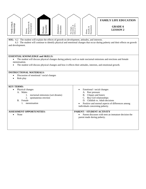|                                                                                                                                                                                                                                                                   |                                          |                    |                         |                                                  |                                       | <b>FAMILY LIFE EDUCATION</b>      |
|-------------------------------------------------------------------------------------------------------------------------------------------------------------------------------------------------------------------------------------------------------------------|------------------------------------------|--------------------|-------------------------|--------------------------------------------------|---------------------------------------|-----------------------------------|
| Family Living &<br>Relationships                                                                                                                                                                                                                                  | Reproduction &<br>Contraception<br>Human | Sexuality<br>Human | Abstinence<br>Education | Prevention, &<br>Effects of STI's<br>The Origin, | Harassment<br>Assault, $\&$<br>Abuse, | <b>GRADE 6</b><br><b>LESSON 2</b> |
| <b>SOL:</b> 6.2 The student will explain the effects of growth on development, attitudes, and interests.<br>The student will continue to identify physical and emotional changes that occur during puberty and their effects on growth<br>6.3<br>and development. |                                          |                    |                         |                                                  |                                       |                                   |
| <b>ESSENTIAL KNOWLEDGE and SKILLS:</b><br>The student will discuss physical changes during puberty such as male nocturnal emissions and erections and female<br>menstruation.                                                                                     |                                          |                    |                         |                                                  |                                       |                                   |
| The student will discuss physical changes and how it effects their attitudes, interests, and emotional growth.                                                                                                                                                    |                                          |                    |                         |                                                  |                                       |                                   |
| <b>INSTRUCTIONAL MATERIALS:</b>                                                                                                                                                                                                                                   |                                          |                    |                         |                                                  |                                       |                                   |
| Discussion of emotional / social changes                                                                                                                                                                                                                          |                                          |                    |                         |                                                  |                                       |                                   |
| Role play                                                                                                                                                                                                                                                         |                                          |                    |                         |                                                  |                                       |                                   |

| <b>KEY TERMS:</b>                                                                                       |                                                                                                                                                                                                  |
|---------------------------------------------------------------------------------------------------------|--------------------------------------------------------------------------------------------------------------------------------------------------------------------------------------------------|
| Physical changes<br>$\bullet$                                                                           | Emotional / social changes                                                                                                                                                                       |
| A. Males<br>nocturnal emissions (wet dreams)<br>spontaneous erection<br>2.<br>B. Female<br>menstruation | A. Peer pressure<br>B. Cliques and loners<br>C. Boy-Girl relationships<br>D. Childish vs. Adult decisions<br>Positive and normal aspects of differences among<br>individuals concerning puberty. |
| <b>ASSESSMENT OPPORTUNITIES:</b>                                                                        | PARENT / STUDENT ACTIVITY                                                                                                                                                                        |
| None<br>٠                                                                                               | Parent discusses with teen an immature decision the<br>parent made during puberty.                                                                                                               |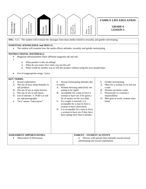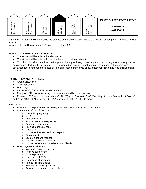

**SOL:** 6.6 The student will summarize the process of human reproduction and the benefits of postponing premarital sexual activity.

(also see Human Reproduction & Contraception strand 6.6)

# **ESSENTIAL KNOWLEDGE and SKILLS:**

- The student will be able define abstinence.
- The student will be able to discuss the benefits of being abstinent.

• The students will be introduced to the physical and psychological consequences of having sexual activity during adolescence. Include the following: STI's, unwanted pregnancy, infant mortality, reputation, self-esteem, and social/economic consequences, loss of trust and respect from loved ones, emotional stress, and loss of relationship stability.

#### **INSTRUCTIONAL MATERIALS:**

- Group Discussion
- Guest speakers
- Role playing
- DVD/VIDEO, OVERHEAD, POWERPOINT
- Pamphlets (101 ways to show you love someone without having sex)
- Posters: "101 Reasons to be Abstinent", "101 Ways to Say No to Sex", "101 Ways to Have Sex Without Doin' It", and, "The ABC's of Abstinence". (ETR Associates,1-800-321-4407 to order)

- Abstinence (the practice of abstaining from any sexual activity prior to marriage)
- Detrimental effects of teen sex
	- o Unwanted pregnancy
		- o STI's
		- o Infant mortality
		- o Psychological consequences
		- o Economic consequences
		- o Physical consequences
		- o Reputation
		- o Loss of self esteem and self respect
		- o Emotional stress
		- o Loss of trust and respect
		- o Loss of relationship stability
		- o Loss of respect from loved ones and friends
- Advantages of Abstinence:
	- o You're in control of your life
	- o Positive self esteem
	- o Good reputation
	- o No chance of STI's
	- o No chance of pregnancy
	- o Able to fulfill life's goals
	- o Enjoyment of teenage years
	- o Achieve religious and moral beliefs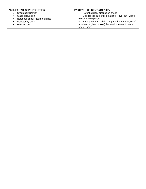| <b>ASSESSMENT OPPORTUNITIES:</b>              | PARENT / STUDENT ACTIVITY                              |  |  |
|-----------------------------------------------|--------------------------------------------------------|--|--|
| Group participation<br>$\bullet$              | Parent/student discussion sheet<br>$\bullet$           |  |  |
| Class discussion                              | Discuss the quote "I'll do a lot for love, but I won't |  |  |
| Notebook check / journal entries<br>$\bullet$ | die for it" with parent.                               |  |  |
| <b>Vocabulary Quiz</b>                        | • Have parent and child compare the advantages of      |  |  |
| <b>Written Test</b>                           | abstinence (listed above) that are important to each   |  |  |
|                                               | one of them.                                           |  |  |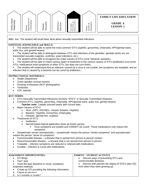

**SOL: 6.4** The student will recall basic facts about sexually transmitted infections.

#### **ESSENTIAL KNOWLEDGE and SKILLS:**

• The student will be able to name the most common STI's (syphilis, gonorrhea, chlamydia, HPV/genital warts, pubic lice, and genital herpes)

• The student will be able to distinguish between STI's and infections of the genitalia / genitals which are not transmitted sexually (vaginitis, urethritis, yeast infections, etc.)

- The student will be able to recognize the major causes of STI's (viral, bacterial, parasitic).
- The student will be able to match various types of treatment to the various causes of STI's (antibiotics cure some STI's; medications treat symptoms of other STI's, but does not cure them).
- The student will understand that an infection caused by a virus is not curable, but symptoms are treatable, and an infection that is caused by a bacteria can be cured by antibiotics.

# **INSTRUCTIONAL MATERIALS:**

- Health Department
- Guest speaker (school nurses)
- Drawing of diseases (NOT photographs)
- **Textbooks**
- CDC website

- STI's (Sexually Transmitted Infections) formerly "STD's" or Sexually Transmitted Diseases.
- Common STI's (syphilis, gonorrhea, chlamydia, HPV/genital warts, pubic lice, genital herpes) *Teacher note:* Update yourself yearly with current data.
- Major Causes of STI's
	- o Virus (HPV, HIV/AIDs, Herpes Simplex, Hepititis)
	- o Bacteria (Syphilis, Gonorrhea, Chlamydia)
	- o Parasite (genital lice, scabies)
- Treatments of STI's
	- o Antibiotics
		- o Steroid based topical application (look up brand names)
			- Virus symptoms are treated and CANNOT be cured! These medications only reduce the symptoms.
- Symptomatic verses asymptomatic *symptomatic* means the person "shows symptoms" and *asymptomatic* means the person "show no symptoms".
- Communicable disease a disease that is spread from person to person contact.
- Noncommunicable disease a disease that is not spread from person to person.
- Treatable infection symptoms are reduced or relieved with medications.
- Curable infection is cured with medications.

| <b>ASSESSMENT OPPORTUNITIES:</b>                           | PARENT / STUDENT ACTIVITY                         |
|------------------------------------------------------------|---------------------------------------------------|
| STI Bingo                                                  | Discuss ways of preventing STI's and              |
| Test / quiz                                                | communicable diseases.                            |
| Chart the type (bacteria or virus), symptoms,<br>$\bullet$ | Discuss with parents the stigma of STD's (aka VD) |
| treatment methods.                                         | from when they were growing up.                   |
| Create an STI providing the following information:         |                                                   |
| Cause of infection?                                        |                                                   |
| Is it treatable or curable?                                |                                                   |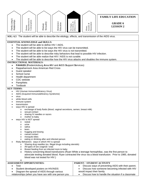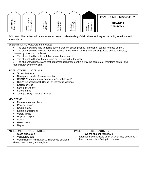

SOL: 6.8 The student will demonstrate increased understanding of child abuse and neglect including emotional and sexual abuse.

ESSENTIAL KNOWLEDGE and SKILLS:

- The student will be able to define several types of abuse (mental / emotional, sexual, neglect, verbal).
- The student will be about to identify avenues for help when dealing with abuse (trusted adults, agencies, community resources, hotlines).
- The student will be able to define sexual harassment.
- The student will know that abuse is never the fault of the victim
- The student will understand that abuse/sexual harassment is a way the perpetrator maintains control and manipulation over the victim.

#### INSTRUCTIONAL MATERIALS:

- School textbook
- Newspaper articles (current events)
- RCASA (Rappahannock Council on Sexual Assault)
- RCDV (Rappahannock Council on Domestic Violence)
- Social services
- School counselor
- School nurse
- "Jenny's Story: Daddy's Little Girl"

- Mental/emotional abuse
- Physical abuse
- Sexual abuse
- Sexual harassment
- Verbal abuse
- Physical neglect
- Abuse
- Harassment
- **Neglect**

| ASSESSMENT OPPORTUNITIES:                                                               | <b>PARENT / STUDENT ACTIVITY</b>                                                                                                      |
|-----------------------------------------------------------------------------------------|---------------------------------------------------------------------------------------------------------------------------------------|
| Class discussion<br>Vocabulary quiz<br>Venn diagram (similarities & differences between | Have the student interview a<br>parent/counselor/trusted adult on what they should do if<br>they or a friend is suffering from abuse. |
| abuse, harassment, and neglect)                                                         |                                                                                                                                       |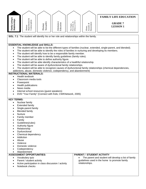

**SOL: 7.1** The student will identify his or her role and relationships within the family.

# **ESSENTIAL KNOWLEDGE and SKILLS:**

- The student will be able to list the different types of families (nuclear, extended, single-parent, and blended).
- The student will be able to identify the roles of families in nurturing and developing its members.
- The student will identify how to be a responsible family member.
- The student will be able to identify family guidelines (family rules).
- The student will be able to define authority figure.
- The student will be able identify characteristics of a healthful relationship.
- The student will be aware of dysfunctional family relationships.
- The student will be able to recognize causes of dysfunctional family relationships (chemical dependencies, addictions, abuse, domestic violence, codependency, and abandonment)

## **INSTRUCTIONAL MATERIALS:**

- Health textbook
- Classroom media tools
- **Powerpoint**
- Health publications
- News media
- Internal school resources (quest speakers)
- DVD "Your Family" (Connect with Kids; CWKNetwork, 2005)

#### **KEY TERMS:**

- Nuclear family
- **Extended family**
- Single-parent family
- **Blended family**
- **Nurture**
- Family member
- Family
- Guidelines(rules)
- Authority figure
- Relationship
- **Dysfunctional**
- Chemical dependency
- **Addiction**
- Abuse
- Violence
- Domestic violence
- **Codependency**
- Abandonment

| <b>ASSESSMENT OPPORTUNITIES:</b> |
|----------------------------------|
|----------------------------------|

- Vocabulary quiz
- Parent / student activity
- Active participation in class discussion / activity
- Notebook checks

# **PARENT / STUDENT ACTIVITY**

• The parent and student will develop a list of family guidelines used in the home to promote family relationships.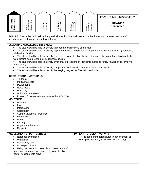

**SOL: 7.3** The student will realize that physical affection is not all sexual, but that it also can be an expression of friendship, of celebration, or of a loving family.

# **ESSENTIAL KNOWLEDGE and SKILLS:**

- The student will be able to identify appropriate expressions of affection.
- The student will be able to identify appropriate times and places for appropriate types of affection. (friendship, celebration, family)
- The student will be able to identify types of physical affection that is not sexual. (hugging, hand holding, high fives, kissing as a greeting ex. European cultures).
- The student will be able to identify emotional expressions of friendship including family relationships (love vrs. Infactuation).
- The student will be able to identify components of friendship versus a dating relationship.
- The student will be able to identify the varying degrees of friendship and love.

## **INSTRUCTIONAL MATERIALS:**

- Textbook
- Media materials
- Power point
- News media
- Role play
- Guidance counselors
- Poster (101 Ways to Make Love Without Doin' It)

- Affection
- **Love**
- **Infactuation**
- **Celebration**
- Cultural variations (greetings)
- Expression
- Dating
- **Kissing**
- Appropriate behavior
- Respect

| <b>ASSESSMENT OPPORTUNITIES:</b>                                                                                                                                                                                           | <b>PARENT / STUDENT ACTIVITY</b>                                                                                |
|----------------------------------------------------------------------------------------------------------------------------------------------------------------------------------------------------------------------------|-----------------------------------------------------------------------------------------------------------------|
| Notebook evaluation<br>Written test<br>Vocabulary quiz<br>Active participation<br>Using the media to create visual presentation of<br>appropriate and non-appropriate physical affection.<br>(poster / collage, role play) | Include parent participation in development of<br>$\bullet$<br>visual presentation (poster/collage, role play). |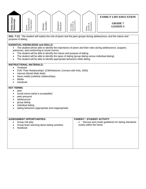

**SOL: 7.13** The student will realize the role of peers and the peer groups during adolescence, and the nature and purpose of dating.

# **ESSENTIAL KNOWLEDGE and SKILLS:**

- The student will be able to identify the importance of peers and their roles during adolescence. (support, pressures, and conforming to social norms).
- The student will be able to identify the nature and purpose of dating.
- The student will be able to identify the types of dating (group dating versus individual dating)
- The student will be able to identify appropriate behaviors while dating.

# **INSTRUCTIONAL MATERIALS:**

- Textbook
- DVD "Peer Relationships" (CWKNetwork; Connect with Kids, 2005)
- Internet (World Wide Web)
- News media (celebrity relationships)
- **Media**
- **Handouts**

- peer
- social norms (what is acceptable)
- peer pressure
- adolescence
- group dating
- individual dating
- dating behaviors (appropriate and inappropriate)

| <b>ASSESSMENT OPPORTUNITIES:</b><br>Group role play<br>٠              | <b>PARENT / STUDENT ACTIVITY</b><br>Discuss and create guidelines for dating standards |
|-----------------------------------------------------------------------|----------------------------------------------------------------------------------------|
| Group brain storming about dating activities<br>$\bullet$<br>Notebook | (rules) within the home.                                                               |
|                                                                       |                                                                                        |
|                                                                       |                                                                                        |
|                                                                       |                                                                                        |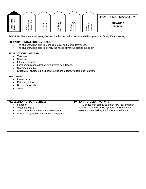

**SOL: 7.14** The student will recognize contributions of various racial and ethnic groups to family life and society.

# **ESSENTIAL KNOWLEDGE and SKILLS:**

- The student will be able to recognize racial and ethnic differences.
- The student will be able to identify the needs of various groups in society.

# **INSTRUCTIONAL MATERIALS:**

- Textbook
- News media
- Internet technology
- Local organizations dealing with diverse populations.
- Classroom media
- Students of diverse ethnic backgrounds share facts, visuals, and traditions

- Race / racial
- Ethnicity / ethnic
- Diverse / diversity
- **society**

| <b>ASSESSMENT OPPORTUNITIES:</b><br>notebook<br>٠<br>vocabulary quiz<br>$\bullet$<br>active classroom participation / discussion<br>write a paragraph on your ethnic background | <b>PARENT / STUDENT ACTIVITY</b><br>Discuss with parent/ guardian how their ethnicity<br>contributes to their family dynamics (cultural foods<br>eaten at home, holiday traditions, clothes, etc.). |
|---------------------------------------------------------------------------------------------------------------------------------------------------------------------------------|-----------------------------------------------------------------------------------------------------------------------------------------------------------------------------------------------------|
|                                                                                                                                                                                 |                                                                                                                                                                                                     |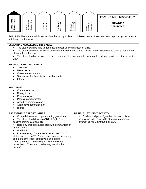

**SOL: 7.15** The student will increase his or her ability to listen to different points of view and to accept the right of others to a differing point of view.

# **ESSENTIAL KNOWLEDGE and SKILLS:**

- The student will be able to demonstrate positive communication skills.
- The student will recognize that others may have various points of view related to family and society that can be different from their own.
- The student will understand the need to respect the rights of others even if they disagree with the others' point of view.

# **INSTRUCTIONAL MATERIALS:**

- **Textbook**
- News media
- Classroom resources
- Students with different ethnic backgrounds
- **Internet**

# **KEY TERMS:**

- Communication
- **Recognition**
- Points of view
- Passive communicator
- Assertive communicator
- Aggressive communicator
- Rights

## **ASSESSMENT OPPORTUNITIES:**

- Group debate (use proper debating guidelines)
- The student will develop a "Bill of Rights" for positive communication skills.
- Role play problems associated with communication among peers.
- Notebook

• Practice using "I" statements rather than "You " statements. Using "You" statements can be accusatory and make others feel defensive. For example: "*I feel* you should be helping me with the dishes". rather than " *You* should be helping me with the dishes".

# **PARENT / STUDENT ACTIVITY**

Student and parent/guardian develop a list of positive ways to respond to others who express different points view than their own.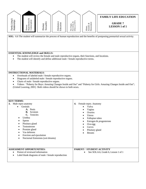

**SOL:** 6.6 The student will summarize the process of human reproduction and the benefits of postponing premarital sexual activity.

# **ESSENTIAL KNOWLEDGE and SKILLS:**

- The student will review the female and male reproductive organs, their functions, and locations.
- The student will identify and define additional male / female reproductive terms.

## **INSTRUCTIONAL MATERIALS:**

- Overheads of labeled male / female reproductive organs.
- Diagrams of unlabeled male / female reproductive organs.
- Charts of male / female reproductive organs.
- Videos: "Puberty for Boys: Amazing Changes Inside and Out" and "Puberty for Girls: Amazing Changes Inside and Out"; (United Learning, 2001) Both videos should be shown to both sexes.

| <b>KEY TERMS:</b>                                                                                                                                                                                                                                 |                                                                                                                                                                                                         |
|---------------------------------------------------------------------------------------------------------------------------------------------------------------------------------------------------------------------------------------------------|---------------------------------------------------------------------------------------------------------------------------------------------------------------------------------------------------------|
| Male repro anatomy<br>3.<br>Genitals<br>Penis<br>A.<br><b>B.</b> Scrotom<br>C. Testicles<br>Urethra<br>Sperm<br>Pituitary gland<br>Testosterone<br>Prostate gland<br>Vas deferens<br>Erection and ejaculation<br>Nocturnal Emissions (wet dreams) | Female repro. Anatomy<br>4.<br>Vulva<br>Vagina<br>Ovaries<br>Uterus<br>$\bullet$<br>Fallopian tubes<br>٠<br>Estrogen & progesterone<br>٠<br>Ova-egg<br>٠<br>Cervix<br>Pituitary gland<br><b>Breasts</b> |
| <b>ASSESSMENT OPPORTUNITIES:</b><br>Pretest of reviewed information<br>$\bullet$<br>Label blank diagrams of male / female reproduction<br>$\bullet$                                                                                               | PARENT / STUDENT ACTIVITY<br>See SOL:6.6, Grade 6, Lesson 1 of 1                                                                                                                                        |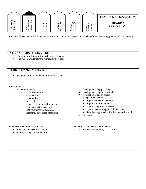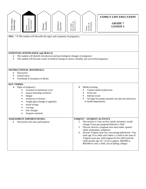| Family Living &<br>Relationships                                                                                                                                                                                                                                                                                                                                                                        | Reproduction &<br>Contraception<br>Human                                                                                                                                              | Sexuality<br>Human                                                                            | Abstinence<br>Education | The Origin,<br>Prevention, &<br>Effects of STI's | Assault, $\&$ Harassment<br>Abuse,                                      | <b>FAMILY LIFE EDUCATION</b><br><b>GRADE 7</b><br><b>LESSON 3</b>                                                                                                                                                                                                                                                                                                                                                                                                                               |
|---------------------------------------------------------------------------------------------------------------------------------------------------------------------------------------------------------------------------------------------------------------------------------------------------------------------------------------------------------------------------------------------------------|---------------------------------------------------------------------------------------------------------------------------------------------------------------------------------------|-----------------------------------------------------------------------------------------------|-------------------------|--------------------------------------------------|-------------------------------------------------------------------------|-------------------------------------------------------------------------------------------------------------------------------------------------------------------------------------------------------------------------------------------------------------------------------------------------------------------------------------------------------------------------------------------------------------------------------------------------------------------------------------------------|
| <b>SOL:</b> 7.8 The student will describe the signs and symptoms of pregnancy.<br><b>ESSENTIAL KNOWLEDGE and SKILLS:</b><br>The student will identify the physical and psychological changes of pregnancy.<br>The student will become aware of medical testing to ensure a healthy and successful pregnancy.<br>$\bullet$<br><b>INSTRUCTIONAL MATERIALS:</b><br>Discussion<br>$\bullet$<br>School nurse |                                                                                                                                                                                       |                                                                                               |                         |                                                  |                                                                         |                                                                                                                                                                                                                                                                                                                                                                                                                                                                                                 |
| <b>KEY TERMS:</b><br>1.                                                                                                                                                                                                                                                                                                                                                                                 | Overheads (Conception to Birth)<br>Signs of pregnancy<br>fatigue<br>$\bullet$<br>sensitivity in breasts<br>$\bullet$<br>mood swings<br>cravings<br>skin changes<br>frequent urination | cessation of menstrual cycle<br>nausea (morning sickness)<br>weight gain (change in appetite) |                         | 2.                                               | Medical testing<br>Urine test<br>Internal exam<br>or health department) | Contact medical physician<br>Arrange for proper prenatal care (private physician                                                                                                                                                                                                                                                                                                                                                                                                                |
| $\bullet$                                                                                                                                                                                                                                                                                                                                                                                               | <b>ASSESSMENT OPPORTUNITIES:</b><br>Discussion and class participation                                                                                                                |                                                                                               |                         |                                                  | PARENT / STUDENT ACTIVITY                                               | 2. Discussions w/ teen on how family dynamics would<br>change if teen got pregnant/fathered a child.<br>3. Discuss choices a pregnant teen must make. (parent<br>child, termination, adoption)<br>4. Discuss Virginia state law concerning fatherhood: "Any<br>male age 14 or older who father's a child in the state of<br>Virginia must pay child support for his child until the<br>child reaches age 18." (Cost is approx. \$40,000 to<br>\$60,000 to raise a child, not including college) |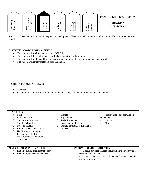

**SOL:** 7.2 The student will recognize the physical development of his/her sex characteristics and how they affect emotional and social growth.

#### **ESSENTIAL KNOWLEDGE and SKILLS:**

- The student will review materials from SOL 6.1**.**
- The student will learn additional growth changes that occur during puberty.
- The student will understand how the physical development affects emotional and social growth.
- The student will review materials from 6.2 and 6.3.

#### **INSTRUCTIONAL MATERIALS:**

- **Overheads**
- Discussion of immaturity vs. maturity factors due to physical and emotional changes in genders.

#### **KEY TERMS:**

- Male
- A. Facial hair/beard
- B. Spontaneous erection
- C. Shoulders broaden
- D. Muscles develop
- E. Possible breast enlargement
- F. Hairline recession begins
- Female
- A. Hips widen
- B. Waistline narrows
	- C. Permanent teeth all in
	- D. Female hormones estrogen and progesterone

• Masturbation (self-stimulation of

sexual organs) • Orgasm • Climax

G. Permanent teeth all in H. Male hormone-testosterone I. Voice change **ASSESSMENT OPPORTUNITIES:**  List all physical changes that occur. List emotional changes that occur. **PARENT / STUDENT ACTIVITY**  • Discuss physical changes occurring during puberty and emotions that can occur. • Have a parent list 5 physical changes that they remember from growing up.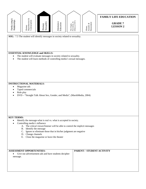

**SOL:** 7.5 The student will identify messages in society related to sexuality.

# **ESSENTIAL KNOWLEDGE and SKILLS:**

- The student will evaluate messages in society related to sexuality.
- The student will learn methods of controlling media's sexual messages.

#### **INSTRUCTIONAL MATERIALS:**

- Magazine ads
- Taped commercials
- Role play
- DVD "Straight Talk About Sex, Gender, and Media", (MarshMedia, 2004)

#### **KEY TERMS:**

- Identify the message-what is real vs. what is accepted in society.
- Controlling media's influence
	- A. The critical viewer/listener will be able to control the implicit messages
	- B. Identify the message
	- C. Ignore or eliminate those that in his/her judgment are negative
	- D. Change channels
	- E. Close the magazine or leave the theater

**ASSESSMENT OPPORTUNITIES:**  • Give out advertisement ads and have students decipher message. **PARENT / STUDENT ACTIVITY**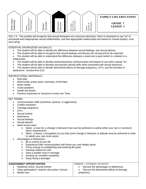

SOL:7.4 The student will recognize that sexual behaviors are conscious decisions; that it is important to say "no" to premarital and inappropriate sexual relationships; and that appropriate relationships are based on mutual respect, trust, and caring.

#### ESSENTIAL KNOWLEDGE and SKILLS:

- The student will be able to identify the difference between sexual feelings, and sexual desires.
- The student will be able to recognize that sexual feelings and desires are normal and to be expected.
- The student will be able to understand the difference between a need and a want (which is a desire) in a relationship.
- The student will be able to identify positive/assertive communication techniques to use when saying "no".
- The student will be able to develop and practice refusal skills when presented with sexual advances.
- The student will be able to identify detrimental effects of teenage pregnancy, STI's, and the benefits of abstinence. (review from 6.6)

# INSTRUCTIONAL MATERIALS:

- Role play
- Multi-media: power point, overhead, DVD/Video
- News media
- Guest speakers
- Health text books
- Practice responses to "pressure to have sex" lines.

#### KEY TERMS:

- Communication skills (Assertive, passive, or aggressive)
- Conflict resolution
- Teenage pregnancy
- STI's
- Sexual activity
- **Abstinence**
- Sexual feelings
- Sexual desires
- Need verses want
	- o Need: a must do; a change in behavior that must be achieved to satisfy either your own or someone else's requirements.
	- o Want: a desire; a recognition by you that some change in behavior or attitude must be achieved in order to satisfy your own inner wants.
- Advantages of Abstinence:
	- o Be in control of your life
	- o Experience fuller communication with those you care deeply about
	- o Focus energy on establishing and realizing life goals
	- o Develop respect for self
	- o Have a greater trust in marriage
	- o Develop an unselfish sensitivity
	- o Enjoy being a teenager

#### **ASSESSMENT OPPORTUNITIES:**  • Notebook check / journal entries • Class participation / teacher discussion / lecture Written test PARENT / STUDENT ACTIVITY • Discuss the advantages of abstinence. • Discuss the detrimental effects of teenage pregnancy.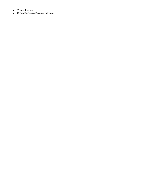| Vocabulary test<br>$\bullet$<br>• Group Discussion/role play/debate |  |
|---------------------------------------------------------------------|--|
|                                                                     |  |
|                                                                     |  |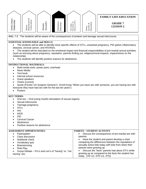

- STI's
- HIV
- AIDS
- PID
- Cervical Cancer
- **Abstinence**
- Positive reasons for abstinence

#### **ASSESSMENT OPPORTUNITIES: Participation** • Class discussion • Notebook check • Vocabulary quiz **Brainstorming** • Role Play • Group Debate – Pro's and con's of "having" vs. "not having" sex. **PARENT / STUDENT ACTIVITY**  • Discuss the consequences of pre-marital sex with parents. • Have the student and parent develop a chart comparing the differences between the reputations of sexually active kids today with kids from when their parents were growing up. • Discuss the "facts" parents had about STI's while growing up as compared to the facts the student has today. (VD vrs. STD vrs. STI))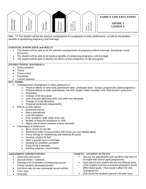

**SOL: 7.7** The student will list the adverse consequence of a pregnancy in early adolescence, as well as the positive benefits of postponing pregnancy until marriage.

## **ESSENTIAL KNOWLEDGE and SKILLS:**

- The student will be able to list the adverse consequences of pregnancy before marriage. (emotional, social, economic)
- The student will be able to list positive benefits of postponing pregnancy until marriage.
- The student will be able to identify the effects of teen pregnancy on life-long goals.

## **INSTRUCTIONAL MATERIALS:**

- Guest speakers
- **Charts**
- Power points
- **Pamphlets**
- Current statistics

- Consequences of pregnancy in early adolescence
	- o Physical effects on teen body (premature labor, prolonged labor, ectopic pregnancies (tubal pregnancy)
	- o Physical effects on baby (prematurity, low birth weight, infant mortality, FAS "fetal alcohol syndrome")
	- o Reputation
	- o Change of life-long goals
	- o Lack of proper parenting skills and child care demands
	- o Change of social life/status
	- o Financial burden/job responsibility
- Effects on teen fathers
	- o Emotional trauma
	- o Marry prematurely
	- o Low self-esteem
	- o Poor academic skills (early drop out)
	- o Burden of financial assistance to child
	- o Higher risk of abuse towards mother and baby
- Advantages of Abstinence:
	- o Be in control of your life
	- o Experience fuller communication with those you care deeply about
	- o Focus energy on establishing and realizing life goals
	- o Develop respect for self
	- o Have a greater trust in marriage
	- o Develop an unselfish sensitivity
	- o Enjoy being a teenager
	- o Achieve religious / moral beliefs

| <b>ASSESSMENT OPPORTUNITIES:</b>                      | PARENT / STUDENT ACTIVITY                           |
|-------------------------------------------------------|-----------------------------------------------------|
| Classroom discussion                                  | Discuss the adjustments and sacrifices that have to |
| Journal entries / notebook                            | be made with school aged pregnancies.               |
| Develop a list of benefits of postponing sexual       | Have parent and student discuss the lifelong goals  |
| activity (student developed poster)                   | of the student and how premarital pregnancy would   |
| List three risks for teen premarital sexual activity. | effect these goals. How would it affect the new     |
| Test / Quiz                                           | "grandparents".                                     |
| Role play                                             | How would the student's parent's life path have     |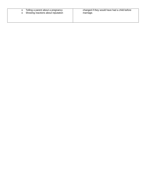|  | Telling a parent about a pregnancy<br>Showing reactions about reputation | changed if they would have had a child before<br>marriage. |
|--|--------------------------------------------------------------------------|------------------------------------------------------------|
|--|--------------------------------------------------------------------------|------------------------------------------------------------|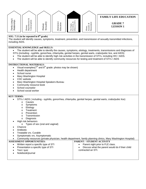

# **SOL: 7.11 (to be repeated in 8<sup>th</sup> grade)**

The student will identify causes, symptoms, treatment, prevention, and transmission of sexually transmitted infections, including AIDS.

## **ESSENTIAL KNOWLEDGE and SKILLS:**

• The student will be able to identify the causes, symptoms, etiology, treatments, transmissions and diagnoses of STI's (including - syphilis, gonorrhea, chlamydia, genital herpes, genital warts, crabs/pubic lice, and AIDS)

- The student will be able to identify high risk activities in the transmission of STI's, including HIV / AIDS.
- The student will be able to identify community resources for testing and treatment of STI's / AIDS

#### **INSTRUCTIONAL MATERIALS:**

- Visual examples( $7<sup>th</sup>$  and  $8<sup>th</sup>$  grade: photos may be shown)
- Health department
- School nurse
- Mary Washington Hospital
- CDC website
- Mary Washington Hospital Speakers Bureau
- Community resource book
- School counselor
- School social worker

#### **KEY TERMS:**

- STI's / AIDS ( including syphilis, gonorrhea, chlamydia, genital herpes, genital warts, crabs/pubic lice)
	- o Causes
	- o Symptoms
	- o Etiology
	- o Treatment
	- o Prevention
	- o Transmission
	- o Diagnosis
	- High risk behaviors
		- o Types of sex (oral and vaginal)
- **Chancre**
- Antibiotic
- Treatable vrs. Curable
- Symptomatic vrs. Asymptomatic

• Community resources (private physician, health department, family planning clinics, Mary Washington Hospital)

#### **ASSESSMENT OPPORTUNITIES:**

- Written report a specific type of STI
- Presentation a specific type of STI
- Test / quiz
- Notebook/journal

## **PARENT / STUDENT ACTIVITY**

- Parent night prior to FLE class.
- Discuss what the parent would do if their child contracted an STI.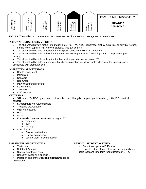

**SOL: 7.6** The student will be aware of the consequences of preteen and teenage sexual intercourse.

## **ESSENTIAL KNOWLEDGE and SKILLS:**

- The student will review factual information on STI's ( HIV / AIDS, gonorrhea, crabs / pubic lice, chlamydia, herpes, genital warts, syphilis, PID, cervical cancer)…*see 6.4 and 6.5*
- The student will be able to describe the long term effects of STI's if left untreated.
- The student will be able to describe the emotional consequences of contracting an STI's (reputation, guilt, anxiety).
- The student will be able to describe the financial impacts of contracting an STI.
- The student will be able to recognize that choosing abstinence allows for freedom from the consequences associated with premarital sex.

#### **INSTRUCTIONAL MATERIALS:**

- Health department
- **Pamphlets**
- **Speakers**
- Red Cross
- Mary Washington Hospital
- School nurse
- **Textbook**
- CDC website

## **KEY TERMS:**

• STI's - ( HIV / AIDS, gonorrhea, crabs / pubic lice, chlamydia, herpes, genital warts, syphilis, PID, cervical cancer)

- Symptomatic vrs. Asymptomatic
- Treatable vrs. Curable
- Viral vrs. bacterial
- HIV
- AIDS
- Emotional consequences of contracting an STI
	- o reputation
	- o guilt
	- o anxiety
	- Cost of an STI
		- o Cost of medications
		- o Cost of doctor visits
		- o Loss of work (in some cases)

#### **ASSESSMENT OPPORTUNITIES:**  • Test / quiz • Notebook / journal Student developed poster • Research paper on a specific STI • Poster on one of the *essential knowledge* topics from above. **PARENT / STUDENT ACTIVITY**  • Parent night prior to FLE class • Have the student "quiz" their parent or guardian on basic facts and long term repercussions of STI's.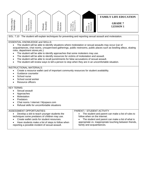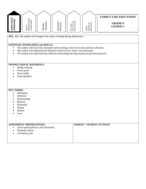| ಂಶ               |                     |                      |                                                                              |                              |                                      | <b>FAMILY LIFE EDUCATION</b>     |
|------------------|---------------------|----------------------|------------------------------------------------------------------------------|------------------------------|--------------------------------------|----------------------------------|
| <b>Rela</b><br>ਛ | ళ<br>ά<br>ĘЕ<br>ΞĂŨ | an<br>ಸ<br>Hum<br>Se | d.<br>片<br>u<br>−<br>đ.<br>ᠷ<br>$\overline{\phantom{a}}$<br>s<br>급<br>٩<br>凹 | $\sim$<br>ళ<br>⊢<br>È<br>ட்ட | ⋍<br>ళ<br>Ē<br>₩<br>≃<br>ದ<br>ದ<br>ਾ | <b>GRADE 8</b><br><b>LESSON1</b> |

**SOL: 8.5** The student will recognize the nature of dating during adolescence.

# **ESSENTIAL KNOWLEDGE and SKILLS:**

- The student will know that all people need to belong, need to be loved, and show affection.
- The student will understand the difference between love, desire, and infatuation.
- The student will understand that different relationships develop emotional and mental growth.

# **INSTRUCTIONAL MATERIALS:**

- Health textbook
- Power point
- News media
- Guest speakers

- Infatuation
- Affection
- Relationships
- Physical
- **Emotional**
- Dating
- **Desires**
- Love

| <b>ASSESSMENT OPPORTUNITIES:</b>                      | <b>PARENT / STUDENT ACTIVITY</b> |
|-------------------------------------------------------|----------------------------------|
| Active participation in class discussion<br>$\bullet$ |                                  |
| Notebook checks                                       |                                  |
| Vocabulary quiz                                       |                                  |
|                                                       |                                  |
|                                                       |                                  |
|                                                       |                                  |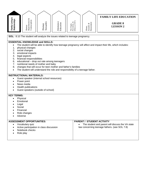| Family Living &<br>Relationships                                                                                                                                                                                                                                                                                                                                                                                                                                                                                                                       | ${\bf Reproduction\,\,} \&\\ {\bf Contraception}$<br>Human                                                                                                             | Sexuality<br>Human | Abstinence<br>Education | The Origin,<br>Prevention, &<br>Effects of STI' | $\begin{array}{l} \text{Assault,} \ \& \\ \text{Haussianent} \end{array}$<br>Abuse, | <b>FAMILY LIFE EDUCATION</b><br><b>GRADE 8</b><br><b>LESSON 2</b>                                 |
|--------------------------------------------------------------------------------------------------------------------------------------------------------------------------------------------------------------------------------------------------------------------------------------------------------------------------------------------------------------------------------------------------------------------------------------------------------------------------------------------------------------------------------------------------------|------------------------------------------------------------------------------------------------------------------------------------------------------------------------|--------------------|-------------------------|-------------------------------------------------|-------------------------------------------------------------------------------------|---------------------------------------------------------------------------------------------------|
|                                                                                                                                                                                                                                                                                                                                                                                                                                                                                                                                                        | SOL: 8:10 The student will analyze the issues related to teenage pregnancy.                                                                                            |                    |                         |                                                 |                                                                                     |                                                                                                   |
| <b>ESSENTIAL KNOWLEDGE and SKILLS:</b><br>The student will be able to identify how teenage pregnancy will affect and impact their life, which includes:<br>1.<br>physical changes<br>2. social changes<br>emotional impacts<br>3.<br>legal aspects<br>4.<br>financial responsibilities<br>5.<br>educational - drop out rate among teenagers<br>6.<br>nutritional needs of mother and baby<br>7.<br>changes that will occur for teen mother and father's families<br>8.<br>The student will understand the role and responsibility of a teenage father. |                                                                                                                                                                        |                    |                         |                                                 |                                                                                     |                                                                                                   |
|                                                                                                                                                                                                                                                                                                                                                                                                                                                                                                                                                        | <b>INSTRUCTIONAL MATERIALS:</b><br>Guest speaker (internal school resources)<br>Power point<br>News media<br>Health publications<br>Guest speakers (outside of school) |                    |                         |                                                 |                                                                                     |                                                                                                   |
| <b>KEY TERMS:</b><br>Physical<br>Emotional<br>Legal<br>Social<br>Financial<br>Role changes<br>Adverse                                                                                                                                                                                                                                                                                                                                                                                                                                                  |                                                                                                                                                                        |                    |                         |                                                 |                                                                                     |                                                                                                   |
| $\bullet$                                                                                                                                                                                                                                                                                                                                                                                                                                                                                                                                              | <b>ASSESSMENT OPPORTUNITIES:</b><br>Vocabulary quiz<br>Active participation in class discussion<br>Notebook checks<br>Role play                                        |                    |                         | $\bullet$                                       | <b>PARENT / STUDENT ACTIVITY</b>                                                    | The student and parent will discuss the VA state<br>law concerning teenage fathers. (see SOL 7.8) |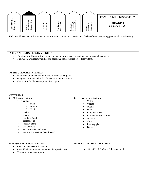

**ESSENTIAL KNOWLEDGE and SKILLS:**  • The student will review the female and male reproductive organs, their functions, and locations.

**SOL:** 6.6 The student will summarize the process of human reproduction and the benefits of postponing premarital sexual activity.

• The student will identify and define additional male / female reproductive terms.

# **INSTRUCTIONAL MATERIALS:**

- Overheads of labeled male / female reproductive organs.
- Diagrams of unlabeled male / female reproductive organs.
- Charts of male / female reproductive organs.

| <b>KEY TERMS:</b>                                                                                                                                                                                                                              |                                                                                                                                                                                                                                 |
|------------------------------------------------------------------------------------------------------------------------------------------------------------------------------------------------------------------------------------------------|---------------------------------------------------------------------------------------------------------------------------------------------------------------------------------------------------------------------------------|
| Male repro anatomy<br>5.<br>Genitals<br>A. Penis<br><b>B.</b> Scrotom<br>C. Testicles<br>Urethra<br>Sperm<br>Pituitary gland<br>Testosterone<br>Prostate gland<br>Vas deferens<br>Erection and ejaculation<br>Nocturnal emissions (wet dreams) | Female repro. Anatomy<br>6.<br>Vulva<br>$\bullet$<br>Vagina<br>Ovaries<br>Uterus<br>$\bullet$<br>Fallopian tubes<br>Estrogen & progesterone<br>Ova-egg<br>$\bullet$<br>Cervix<br>$\bullet$<br>Pituitary gland<br><b>Breasts</b> |
| <b>ASSESSMENT OPPORTUNITIES:</b><br>Pretest of reviewed information<br>$\bullet$<br>Label blank diagrams of male / female reproduction<br>$\bullet$<br>Trace the pathway of sperm<br>$\epsilon$                                                | PARENT / STUDENT ACTIVITY<br>See SOL: 6.6, Grade 6, Lesson 1 of 1                                                                                                                                                               |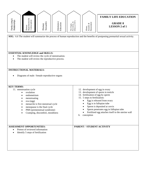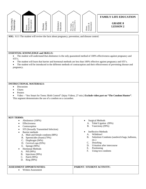

**SOL:** 8.11 The student will review the facts about pregnancy, prevention, and disease control.

# **ESSENTIAL KNOWLEDGE and SKILLS:**

• The student will understand that abstinence is the only guaranteed method of 100% effectiveness against pregnancy and STI's.

- The student will learn that barrier and hormonal methods are less than 100% effective against pregnancy and STI's.
- The student will be introduced to the different methods of contraception and their effectiveness of preventing disease and pregnancy.

#### **INSTRUCTIONAL MATERIALS:**

- **Discussion**
- Charts
- **Posters**

• Video – "Sex Smart for Teens: Birth Control" (Injoy Videos, 27 min.) **Exclude video part on "The Condom Hunter"**. This segment demonstrates the use of a condom on a cucumber.

#### **KEY TERMS:**

- Abstinence (100%)
- Effectiveness
- Contraception
- STI (Sexually Transmitted Infection)
- Barrier methods
	- A. Male and female condoms (88%)
	- B. Spermicides (foam) (79%)
	- C. Diaphragm (94%)
	- D. Cervical caps (93%)
	- E. Sponge (90%)
	- Hormonal Methods
	- A. Pill (99%)
	- B. Injections (99%)
	- C. Patch (99%)
	- D. Ring (99%)

#### **ASSESSMENT OPPORTUNITIES:**

• Written Assessment

- Surgical Methods
	- A. Tubal Ligation (99%)
	- B. Vasectomy (99%)
- Ineffective Methods
	- A. Withdrawl
	- B. Substitute Condoms (sandwich bags, balloons, etc.)
	- C. Douching
	- D. Urination after intercourse
	- E. Positioning
	- F. Using two condoms

## **PARENT / STUDENT ACTIVITY:**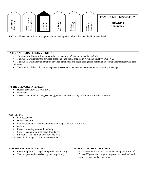

**SOL:** 8.1 The student will relate stages of human development to his or her own developmental level.

## **ESSENTIAL KNOWLEDGE and SKILLS:**

- The student will review human reproductive anatomy in "Human Sexuality" SOL: 6.1.
- The student will review the physical, emotional, and social changes in "Human Sexuality" SOL: 6.2.
- The student will understand that the physical, emotional, and social changes are normal and occur at different rates with each individual.
- The student will learn that self-acceptance is essential to personal development when becoming a teenager.

#### **INSTRUCTIONAL MATERIALS:**

- Human Sexuality SOL's 6.1 & 6.2
- **Overheads**
- Speaker-school nurse, college student, guidance counselor, Mary Washington's Speaker's Bureau

#### **KEY TERMS:**

- Self-acceptance
- Human sexuality
- See "Reproductive Anatomy and Puberty Changes" in SOL's: 6.1 & 6.2
- Define:
- A. Physical having to do with the body
- B. Social having to do with peers, friends, etc.
- C. Emotional having to do with how one feels
- D. Mental having to do with how one thinks

# **ASSESSMENT OPPORTUNITIES:**  • Pretest on physical changes & reproductive anatomy • Teacher generated worksheet (graphic organizer) **PARENT / STUDENT ACTIVITY**  Have student and / or parent take out a picture from  $6<sup>th</sup>$ , 7<sup>th</sup>, and 8<sup>th</sup> grade and compare the physical, emotional, and social changes that have occurred.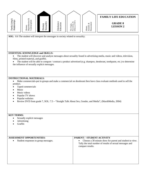

**SOL:** 8.6 The student will interpret the messages in society related to sexuality.

## **ESSENTIAL KNOWLEDGE and SKILLS:**

• The student will discover and analyze messages about sexuality found in advertising media, music and videos, television, films, printed material, and graffiti.

• The student will be able to compare / contrast a product advertised (e.g. shampoo, deodorant, toothpaste, etc.) to determine the influence of sexually explicit messages.

# **INSTRUCTIONAL MATERIALS:**

• Make commercials-put in groups and make a commercial on deodorant then have class evaluate methods used to sell the product.

- Taped commercials
- **Music**
- Music videos
- Popular TV shows
- Popular websites
- Review DVD from grade 7, SOL: 7.5 "Straight Talk About Sex, Gender, and Media", (MarshMedia, 2004)

- Sexually explicit messages
- Advertising
- Graffiti

| <b>ASSESSMENT OPPORTUNITIES:</b>                  | PARENT / STUDENT ACTIVITY                                                                                                               |
|---------------------------------------------------|-----------------------------------------------------------------------------------------------------------------------------------------|
| Student responses to group messages.<br>$\bullet$ | Choose a 30 minute show for parent and student to view.<br>Tally the total number of results of sexual messages and<br>compare results. |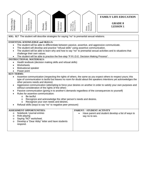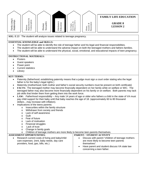

**SOL:** 8.10 The student will analyze issues related to teenage pregnancy.

# **ESSENTIAL KNOWLEDGE and SKILLS:**

- The student will be able to identify the role of teenage father and his legal and financial responsibilities.
- The student will be able to understand the adverse impact on both the teenaged mothers and fathers families.
- The student will be able to understand the physical, social, emotional, and educational impacts of teen pregnancy.

#### **INSTRUCTIONAL MATERIALS:**

- **Posters**
- Guest speakers
- Power point
- Current statistics
- **Library**

- Paternity (fatherhood; establishing paternity means that a judge must sign a court order stating who the legal father is for the baby's legal rights )
- Maternity (motherhood; both mother and father's social security numbers must be present on birth certificate)
- **FACTS:** The teenaged mother may become financially dependent on her family while on welfare or WIC. The teenaged father may also become more financially dependent on his family or on welfare. Both parents may lack job skills that hinder them from getting them into the work force.
- **LAW:** *Fatherhood responsibility* Any male 14 years of age or older who fathers a child in the state of VA must pay child support for their baby until that baby reaches the age of 18. (approximately 60 to 80 thousand dollars…may increase with inflation).
- Implications of the teens parents:
	- o Insecurities within the family structure
	- o Withdrawn from society and friends
	- o Lack of self awareness
	- o Guilt
	- o Fear of future
	- o Lack of motivation
	- o Financial struggles
	- o Lack of trust
	- o Change in family goals
	- o Children of teenage mothers are more likely to become teen parents themselves.

| <b>ASSESSMENT OPPORTUNITIES:</b>                                                                                                    | PARENT / STUDENT ACTIVITY                                                                                                                                                                |
|-------------------------------------------------------------------------------------------------------------------------------------|------------------------------------------------------------------------------------------------------------------------------------------------------------------------------------------|
| Research current costs of living and baby/child<br>care expenses. (rent, baby needs, day care<br>providers, food, gas, bills, etc.) | Discuss with parent "children of teenage mothers"<br>are more likely to become teen parents<br>themselves".<br>Have parent and student discuss VA state law<br>concerning a teen father. |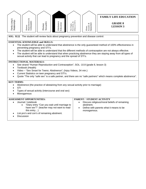